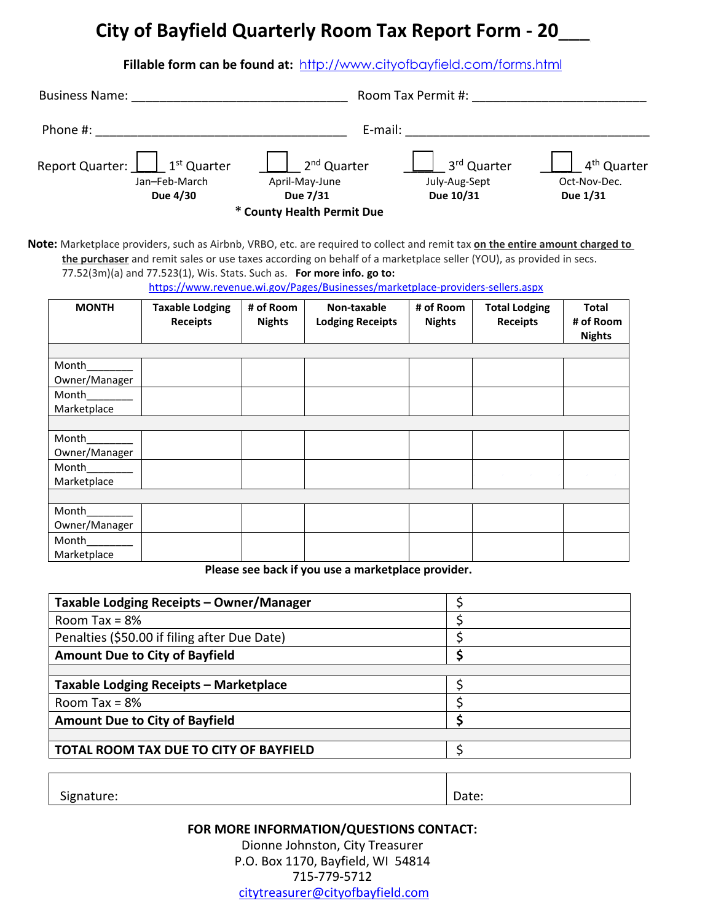## **City of Bayfield Quarterly Room Tax Report Form - 20**\_\_\_

**Fillable form can be found at:** http://www.cityofbayfield.com/forms.html

| <b>Business Name:</b>                                                                                                                                                             | Room Tax Permit #: |                                           |                                                     |  |  |  |
|-----------------------------------------------------------------------------------------------------------------------------------------------------------------------------------|--------------------|-------------------------------------------|-----------------------------------------------------|--|--|--|
| Phone #:                                                                                                                                                                          | E-mail:            |                                           |                                                     |  |  |  |
| Report Quarter: $\boxed{\phantom{1}}$ 1 <sup>st</sup> Quarter<br>2 <sup>nd</sup> Quarter<br>Jan-Feb-March<br>April-May-June<br>Due 7/31<br>Due 4/30<br>* County Health Permit Due |                    | 3rd Quarter<br>July-Aug-Sept<br>Due 10/31 | 4 <sup>th</sup> Quarter<br>Oct-Nov-Dec.<br>Due 1/31 |  |  |  |

**Note:** Marketplace providers, such as Airbnb, VRBO, etc. are required to collect and remit tax **on the entire amount charged to the purchaser** and remit sales or use taxes according on behalf of a marketplace seller (YOU), as provided in secs.

77.52(3m)(a) and 77.523(1), Wis. Stats. Such as. **For more info. go to:** 

https://www.revenue.wi.gov/Pages/Businesses/marketplace-providers-sellers.aspx

| <b>MONTH</b>           | <b>Taxable Lodging</b><br><b>Receipts</b> | # of Room<br><b>Nights</b> | Non-taxable<br><b>Lodging Receipts</b> | # of Room<br><b>Nights</b> | <b>Total Lodging</b><br><b>Receipts</b> | <b>Total</b><br># of Room<br><b>Nights</b> |
|------------------------|-------------------------------------------|----------------------------|----------------------------------------|----------------------------|-----------------------------------------|--------------------------------------------|
|                        |                                           |                            |                                        |                            |                                         |                                            |
| Month<br>Owner/Manager |                                           |                            |                                        |                            |                                         |                                            |
| Month                  |                                           |                            |                                        |                            |                                         |                                            |
| Marketplace            |                                           |                            |                                        |                            |                                         |                                            |
|                        |                                           |                            |                                        |                            |                                         |                                            |
| Month                  |                                           |                            |                                        |                            |                                         |                                            |
| Owner/Manager          |                                           |                            |                                        |                            |                                         |                                            |
| Month                  |                                           |                            |                                        |                            |                                         |                                            |
| Marketplace            |                                           |                            |                                        |                            |                                         |                                            |
|                        |                                           |                            |                                        |                            |                                         |                                            |
| Month                  |                                           |                            |                                        |                            |                                         |                                            |
| Owner/Manager          |                                           |                            |                                        |                            |                                         |                                            |
| Month                  |                                           |                            |                                        |                            |                                         |                                            |
| Marketplace            |                                           |                            |                                        |                            |                                         |                                            |

**Please see back if you use a marketplace provider.**

| Taxable Lodging Receipts - Owner/Manager     |  |
|----------------------------------------------|--|
| Room Tax = $8\%$                             |  |
| Penalties (\$50.00 if filing after Due Date) |  |
| <b>Amount Due to City of Bayfield</b>        |  |
|                                              |  |
| Taxable Lodging Receipts - Marketplace       |  |
| Room Tax = $8\%$                             |  |
| <b>Amount Due to City of Bayfield</b>        |  |
|                                              |  |
| TOTAL ROOM TAX DUE TO CITY OF BAYFIELD       |  |
|                                              |  |

Signature:  $\vert$  Date:

## **FOR MORE INFORMATION/QUESTIONS CONTACT:**

Dionne Johnston, City Treasurer P.O. Box 1170, Bayfield, WI 54814 715-779-5712 [citytreasurer@cityofbayfield.com](mailto:citytreasurer@cityofbayfield.com)